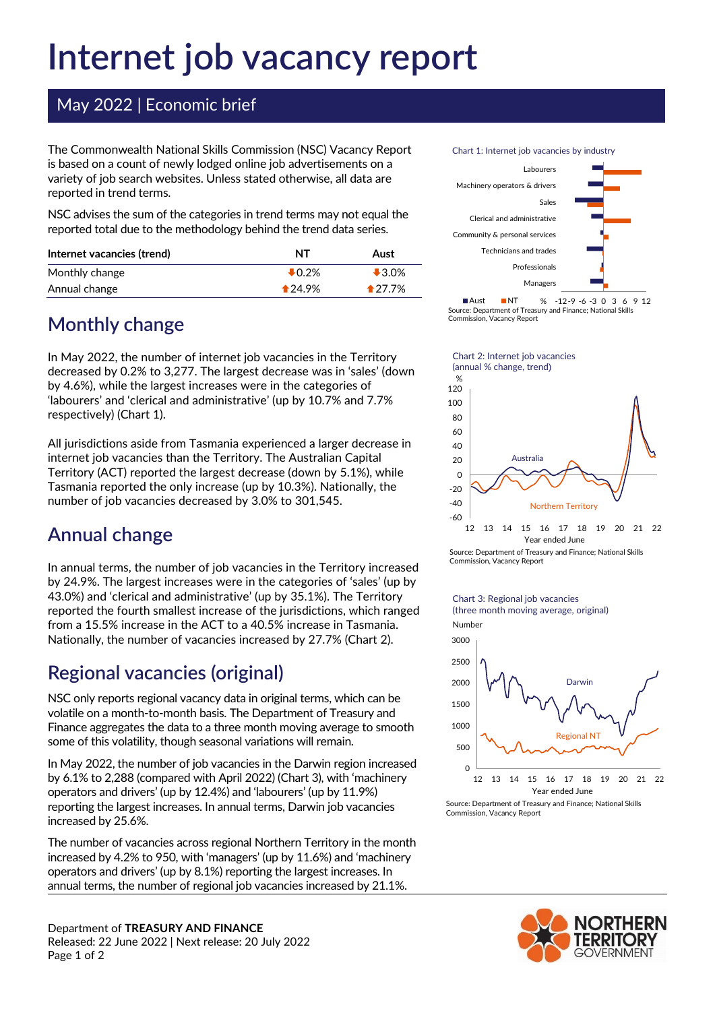# **Internet job vacancy report**

#### May 2022 | Economic brief

The Commonwealth National Skills Commission (NSC) Vacancy Report is based on a count of newly lodged online job advertisements on a variety of job search websites. Unless stated otherwise, all data are reported in trend terms.

NSC advises the sum of the categories in trend terms may not equal the reported total due to the methodology behind the trend data series.

| Internet vacancies (trend) | NT                | Aust     |
|----------------------------|-------------------|----------|
| Monthly change             | $\downarrow$ 0.2% | $-3.0%$  |
| Annual change              | $*24.9%$          | $*27.7%$ |

### **Monthly change**

In May 2022, the number of internet job vacancies in the Territory decreased by 0.2% to 3,277. The largest decrease was in 'sales' (down by 4.6%), while the largest increases were in the categories of 'labourers' and 'clerical and administrative' (up by 10.7% and 7.7% respectively) (Chart 1).

All jurisdictions aside from Tasmania experienced a larger decrease in internet job vacancies than the Territory. The Australian Capital Territory (ACT) reported the largest decrease (down by 5.1%), while Tasmania reported the only increase (up by 10.3%). Nationally, the number of job vacancies decreased by 3.0% to 301,545.

# **Annual change**

In annual terms, the number of job vacancies in the Territory increased by 24.9%. The largest increases were in the categories of 'sales' (up by 43.0%) and 'clerical and administrative' (up by 35.1%). The Territory reported the fourth smallest increase of the jurisdictions, which ranged from a 15.5% increase in the ACT to a 40.5% increase in Tasmania. Nationally, the number of vacancies increased by 27.7% (Chart 2).

# **Regional vacancies (original)**

NSC only reports regional vacancy data in original terms, which can be volatile on a month-to-month basis. The Department of Treasury and Finance aggregates the data to a three month moving average to smooth some of this volatility, though seasonal variations will remain.

In May 2022, the number of job vacancies in the Darwin region increased by 6.1% to 2,288 (compared with April 2022) (Chart 3), with 'machinery operators and drivers' (up by 12.4%) and 'labourers' (up by 11.9%) reporting the largest increases. In annual terms, Darwin job vacancies increased by 25.6%.

The number of vacancies across regional Northern Territory in the month increased by 4.2% to 950, with 'managers' (up by 11.6%) and 'machinery operators and drivers' (up by 8.1%) reporting the largest increases. In annual terms, the number of regional job vacancies increased by 21.1%.

Department of **TREASURY AND FINANCE** Released: 22 June 2022 | Next release: 20 July 2022 Page 1 of 2

Chart 1: Internet job vacancies by industry



<sup>-12-9</sup> -6 -3 0 3 6 9 12 % Aust NT Source: Department of Treasury and Finance; National Skills Commission, Vacancy Report



Chart 2: Internet job vacancies



Source: Department of Treasury and Finance; National Skills Commission, Vacancy Report



Source: Department of Treasury and Finance; National Skills Commission, Vacancy Report